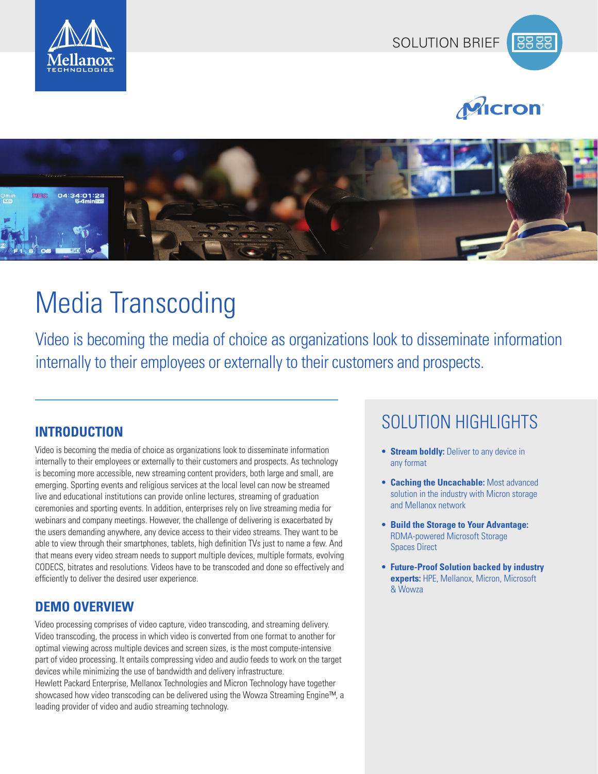







# Media Transcoding

Video is becoming the media of choice as organizations look to disseminate information internally to their employees or externally to their customers and prospects.

Video is becoming the media of choice as organizations look to disseminate information internally to their employees or externally to their customers and prospects. As technology is becoming more accessible, new streaming content providers, both large and small, are emerging. Sporting events and religious services at the local level can now be streamed live and educational institutions can provide online lectures, streaming of graduation ceremonies and sporting events. In addition, enterprises rely on live streaming media for webinars and company meetings. However, the challenge of delivering is exacerbated by the users demanding anywhere, any device access to their video streams. They want to be able to view through their smartphones, tablets, high definition TVs just to name a few. And that means every video stream needs to support multiple devices, multiple formats, evolving CODECS, bitrates and resolutions. Videos have to be transcoded and done so effectively and efficiently to deliver the desired user experience.

# **DEMO OVERVIEW**

Video processing comprises of video capture, video transcoding, and streaming delivery. Video transcoding, the process in which video is converted from one format to another for optimal viewing across multiple devices and screen sizes, is the most compute-intensive part of video processing. It entails compressing video and audio feeds to work on the target devices while minimizing the use of bandwidth and delivery infrastructure. Hewlett Packard Enterprise, Mellanox Technologies and Micron Technology have together showcased how video transcoding can be delivered using the Wowza Streaming Engine™, a leading provider of video and audio streaming technology.

# SOLUTION HIGHLIGHTS **INTRODUCTION**

- **• Stream boldly:** Deliver to any device in any format
- **• Caching the Uncachable:** Most advanced solution in the industry with Micron storage and Mellanox network
- **• Build the Storage to Your Advantage:** RDMA-powered Microsoft Storage Spaces Direct
- **• Future-Proof Solution backed by industry experts:** HPE, Mellanox, Micron, Microsoft & Wowza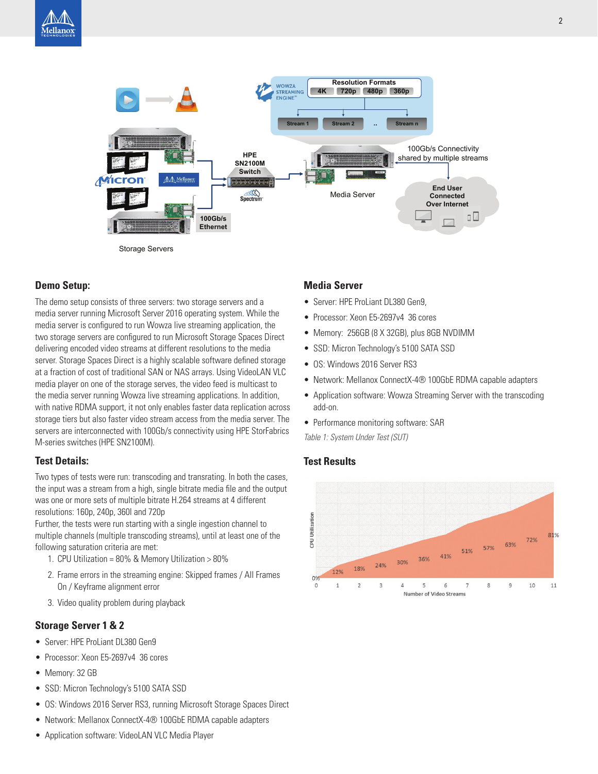

**Demo Setup:**

The demo setup consists of three servers: two storage servers and a media server running Microsoft Server 2016 operating system. While the media server is configured to run Wowza live streaming application, the two storage servers are configured to run Microsoft Storage Spaces Direct delivering encoded video streams at different resolutions to the media server. Storage Spaces Direct is a highly scalable software defined storage at a fraction of cost of traditional SAN or NAS arrays. Using VideoLAN VLC media player on one of the storage serves, the video feed is multicast to the media server running Wowza live streaming applications. In addition, with native RDMA support, it not only enables faster data replication across storage tiers but also faster video stream access from the media server. The servers are interconnected with 100Gb/s connectivity using HPE StorFabrics M-series switches (HPE SN2100M).

## **Test Details:**

Two types of tests were run: transcoding and transrating. In both the cases, the input was a stream from a high, single bitrate media file and the output was one or more sets of multiple bitrate H.264 streams at 4 different resolutions: 160p, 240p, 360l and 720p

Further, the tests were run starting with a single ingestion channel to multiple channels (multiple transcoding streams), until at least one of the following saturation criteria are met:

- 1. CPU Utilization = 80% & Memory Utilization > 80%
- 2. Frame errors in the streaming engine: Skipped frames / All Frames On / Keyframe alignment error
- 3. Video quality problem during playback

# **Storage Server 1 & 2**

- Server: HPE ProLiant DL380 Gen9
- Processor: Xeon E5-2697v4 36 cores
- Memory: 32 GB
- SSD: Micron Technology's 5100 SATA SSD
- OS: Windows 2016 Server RS3, running Microsoft Storage Spaces Direct
- Network: Mellanox ConnectX-4® 100GbE RDMA capable adapters
- Application software: VideoLAN VLC Media Player

# **Media Server**

- Server: HPE ProLiant DL380 Gen9,
- Processor: Xeon E5-2697v4 36 cores
- Memory: 256GB (8 X 32GB), plus 8GB NVDIMM
- SSD: Micron Technology's 5100 SATA SSD
- OS: Windows 2016 Server RS3
- Network: Mellanox ConnectX-4® 100GbE RDMA capable adapters
- Application software: Wowza Streaming Server with the transcoding add-on.
- Performance monitoring software: SAR

*Table 1: System Under Test (SUT)*

# **Test Results**